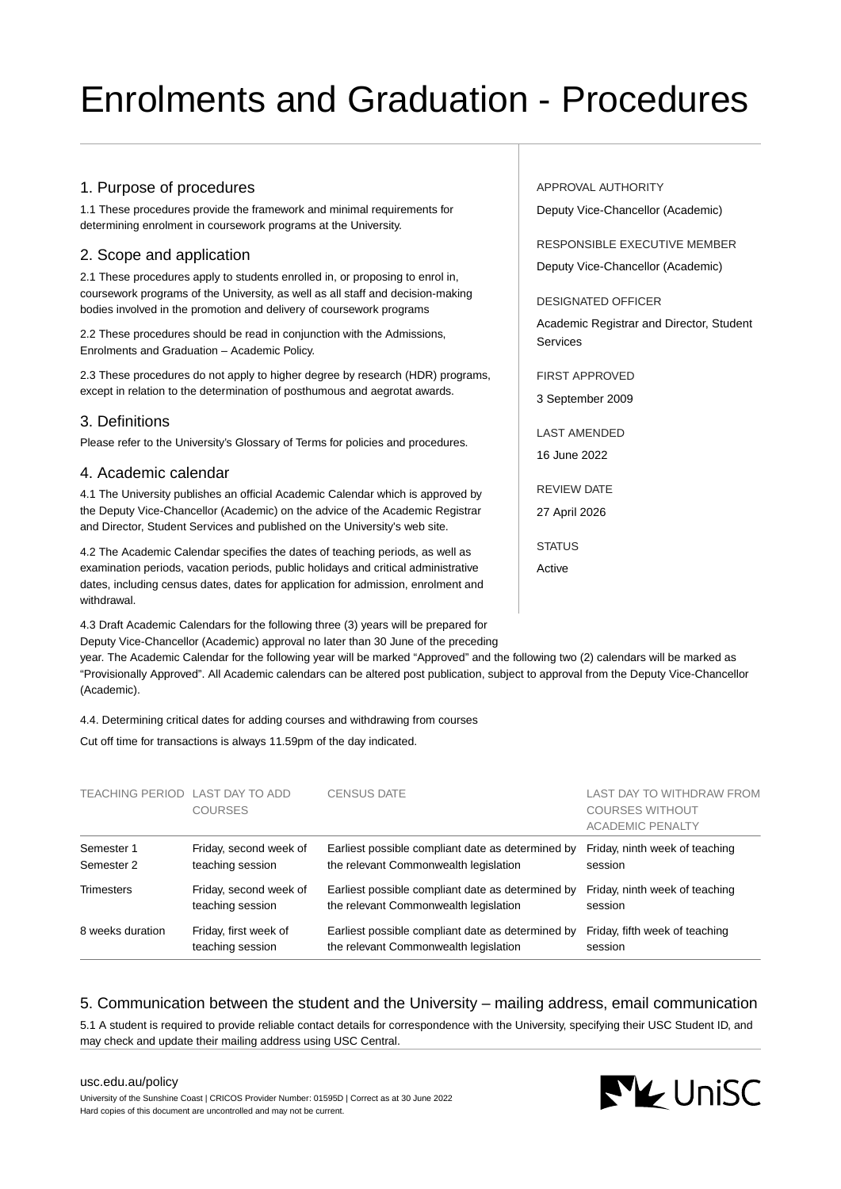# Enrolments and Graduation - Procedures

# 1. Purpose of procedures

1.1 These procedures provide the framework and minimal requirements for determining enrolment in coursework programs at the University.

# 2. Scope and application

2.1 These procedures apply to students enrolled in, or proposing to enrol in, coursework programs of the University, as well as all staff and decision-making bodies involved in the promotion and delivery of coursework programs

2.2 These procedures should be read in conjunction with the Admissions, Enrolments and Graduation – Academic Policy.

2.3 These procedures do not apply to higher degree by research (HDR) programs, except in relation to the determination of posthumous and aegrotat awards.

# 3. Definitions

Please refer to the University's Glossary of Terms for policies and procedures.

## 4. Academic calendar

4.1 The University publishes an official Academic Calendar which is approved by the Deputy Vice-Chancellor (Academic) on the advice of the Academic Registrar and Director, Student Services and published on the University's web site.

4.2 The Academic Calendar specifies the dates of teaching periods, as well as examination periods, vacation periods, public holidays and critical administrative dates, including census dates, dates for application for admission, enrolment and withdrawal.

4.3 Draft Academic Calendars for the following three (3) years will be prepared for Deputy Vice-Chancellor (Academic) approval no later than 30 June of the preceding

year. The Academic Calendar for the following year will be marked "Approved" and the following two (2) calendars will be marked as "Provisionally Approved". All Academic calendars can be altered post publication, subject to approval from the Deputy Vice-Chancellor (Academic).

4.4. Determining critical dates for adding courses and withdrawing from courses

Cut off time for transactions is always 11.59pm of the day indicated.

| TEACHING PERIOD LAST DAY TO ADD | <b>COURSES</b>         | <b>CENSUS DATE</b>                                | LAST DAY TO WITHDRAW FROM<br><b>COURSES WITHOUT</b><br><b>ACADEMIC PENALTY</b> |
|---------------------------------|------------------------|---------------------------------------------------|--------------------------------------------------------------------------------|
| Semester 1                      | Friday, second week of | Earliest possible compliant date as determined by | Friday, ninth week of teaching                                                 |
| Semester 2                      | teaching session       | the relevant Commonwealth legislation             | session                                                                        |
| <b>Trimesters</b>               | Friday, second week of | Earliest possible compliant date as determined by | Friday, ninth week of teaching                                                 |
|                                 | teaching session       | the relevant Commonwealth legislation             | session                                                                        |
| 8 weeks duration                | Friday, first week of  | Earliest possible compliant date as determined by | Friday, fifth week of teaching                                                 |
|                                 | teaching session       | the relevant Commonwealth legislation             | session                                                                        |

# 5. Communication between the student and the University – mailing address, email communication

5.1 A student is required to provide reliable contact details for correspondence with the University, specifying their USC Student ID, and may check and update their mailing address using USC Central.

[usc.edu.au/policy](https://www.usc.edu.au/policy) University of the Sunshine Coast | CRICOS Provider Number: 01595D | Correct as at 30 June 2022 Hard copies of this document are uncontrolled and may not be current.

#### APPROVAL AUTHORITY

Deputy Vice-Chancellor (Academic)

RESPONSIBLE EXECUTIVE MEMBER Deputy Vice-Chancellor (Academic)

#### DESIGNATED OFFICER

Academic Registrar and Director, Student Services

FIRST APPROVED 3 September 2009

LAST AMENDED 16 June 2022

REVIEW DATE 27 April 2026

**STATUS** Active

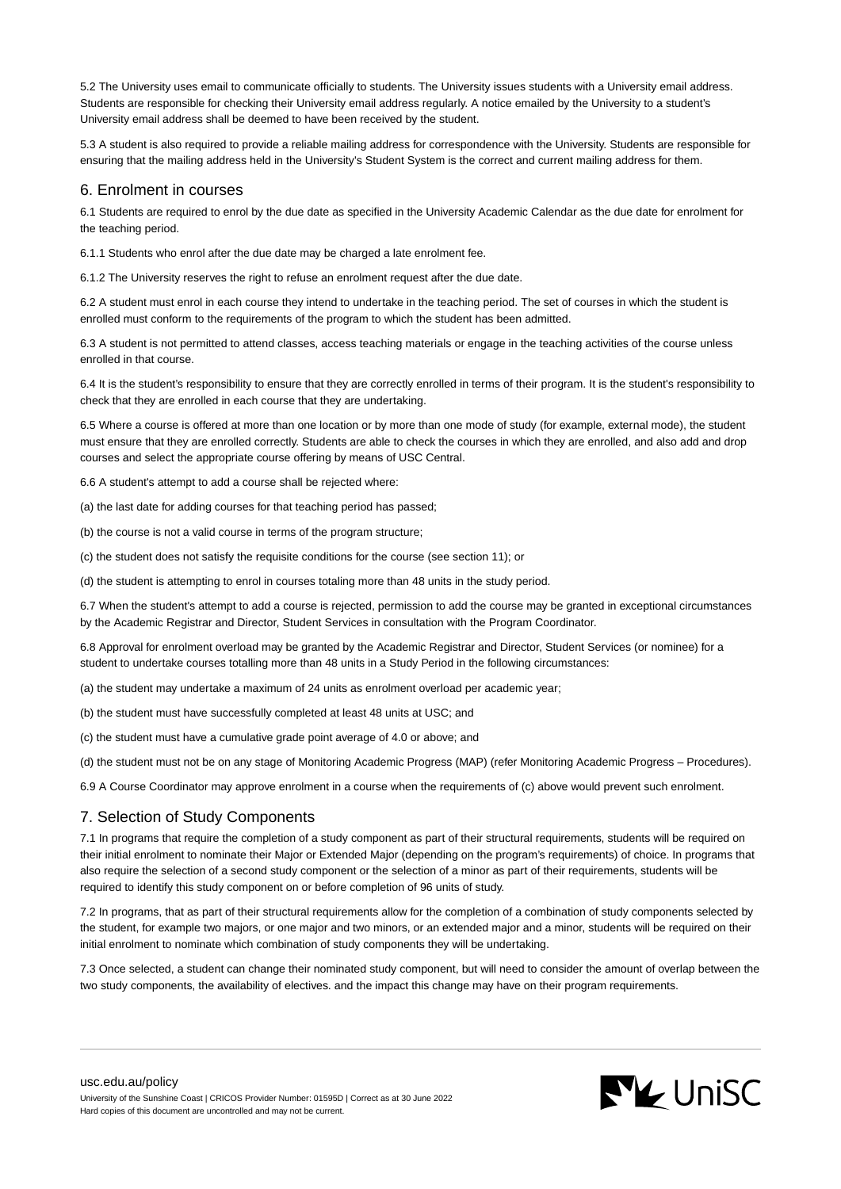5.2 The University uses email to communicate officially to students. The University issues students with a University email address. Students are responsible for checking their University email address regularly. A notice emailed by the University to a student's University email address shall be deemed to have been received by the student.

5.3 A student is also required to provide a reliable mailing address for correspondence with the University. Students are responsible for ensuring that the mailing address held in the University's Student System is the correct and current mailing address for them.

#### 6. Enrolment in courses

6.1 Students are required to enrol by the due date as specified in the University Academic Calendar as the due date for enrolment for the teaching period.

6.1.1 Students who enrol after the due date may be charged a late enrolment fee.

6.1.2 The University reserves the right to refuse an enrolment request after the due date.

6.2 A student must enrol in each course they intend to undertake in the teaching period. The set of courses in which the student is enrolled must conform to the requirements of the program to which the student has been admitted.

6.3 A student is not permitted to attend classes, access teaching materials or engage in the teaching activities of the course unless enrolled in that course.

6.4 It is the student's responsibility to ensure that they are correctly enrolled in terms of their program. It is the student's responsibility to check that they are enrolled in each course that they are undertaking.

6.5 Where a course is offered at more than one location or by more than one mode of study (for example, external mode), the student must ensure that they are enrolled correctly. Students are able to check the courses in which they are enrolled, and also add and drop courses and select the appropriate course offering by means of USC Central.

6.6 A student's attempt to add a course shall be rejected where:

(a) the last date for adding courses for that teaching period has passed;

(b) the course is not a valid course in terms of the program structure;

(c) the student does not satisfy the requisite conditions for the course (see section 11); or

(d) the student is attempting to enrol in courses totaling more than 48 units in the study period.

6.7 When the student's attempt to add a course is rejected, permission to add the course may be granted in exceptional circumstances by the Academic Registrar and Director, Student Services in consultation with the Program Coordinator.

6.8 Approval for enrolment overload may be granted by the Academic Registrar and Director, Student Services (or nominee) for a student to undertake courses totalling more than 48 units in a Study Period in the following circumstances:

(a) the student may undertake a maximum of 24 units as enrolment overload per academic year;

(b) the student must have successfully completed at least 48 units at USC; and

(c) the student must have a cumulative grade point average of 4.0 or above; and

(d) the student must not be on any stage of Monitoring Academic Progress (MAP) (refer Monitoring Academic Progress – Procedures).

6.9 A Course Coordinator may approve enrolment in a course when the requirements of (c) above would prevent such enrolment.

## 7. Selection of Study Components

7.1 In programs that require the completion of a study component as part of their structural requirements, students will be required on their initial enrolment to nominate their Major or Extended Major (depending on the program's requirements) of choice. In programs that also require the selection of a second study component or the selection of a minor as part of their requirements, students will be required to identify this study component on or before completion of 96 units of study.

7.2 In programs, that as part of their structural requirements allow for the completion of a combination of study components selected by the student, for example two majors, or one major and two minors, or an extended major and a minor, students will be required on their initial enrolment to nominate which combination of study components they will be undertaking.

7.3 Once selected, a student can change their nominated study component, but will need to consider the amount of overlap between the two study components, the availability of electives. and the impact this change may have on their program requirements.

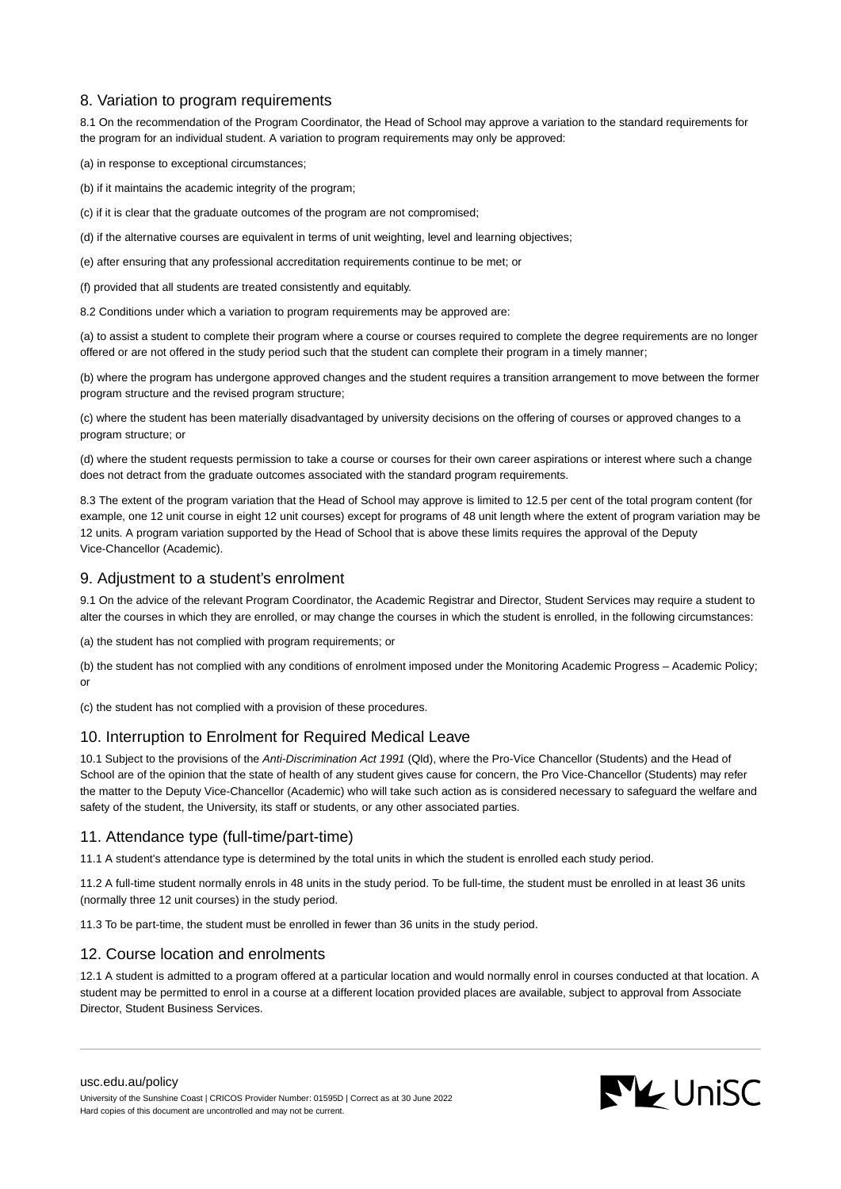# 8. Variation to program requirements

8.1 On the recommendation of the Program Coordinator, the Head of School may approve a variation to the standard requirements for the program for an individual student. A variation to program requirements may only be approved:

(a) in response to exceptional circumstances;

(b) if it maintains the academic integrity of the program;

(c) if it is clear that the graduate outcomes of the program are not compromised;

(d) if the alternative courses are equivalent in terms of unit weighting, level and learning objectives;

(e) after ensuring that any professional accreditation requirements continue to be met; or

(f) provided that all students are treated consistently and equitably.

8.2 Conditions under which a variation to program requirements may be approved are:

(a) to assist a student to complete their program where a course or courses required to complete the degree requirements are no longer offered or are not offered in the study period such that the student can complete their program in a timely manner;

(b) where the program has undergone approved changes and the student requires a transition arrangement to move between the former program structure and the revised program structure;

(c) where the student has been materially disadvantaged by university decisions on the offering of courses or approved changes to a program structure; or

(d) where the student requests permission to take a course or courses for their own career aspirations or interest where such a change does not detract from the graduate outcomes associated with the standard program requirements.

8.3 The extent of the program variation that the Head of School may approve is limited to 12.5 per cent of the total program content (for example, one 12 unit course in eight 12 unit courses) except for programs of 48 unit length where the extent of program variation may be 12 units. A program variation supported by the Head of School that is above these limits requires the approval of the Deputy Vice-Chancellor (Academic).

# 9. Adjustment to a student's enrolment

9.1 On the advice of the relevant Program Coordinator, the Academic Registrar and Director, Student Services may require a student to alter the courses in which they are enrolled, or may change the courses in which the student is enrolled, in the following circumstances:

(a) the student has not complied with program requirements; or

(b) the student has not complied with any conditions of enrolment imposed under the Monitoring Academic Progress – Academic Policy; or

(c) the student has not complied with a provision of these procedures.

## 10. Interruption to Enrolment for Required Medical Leave

10.1 Subject to the provisions of the Anti-Discrimination Act 1991 (Qld), where the Pro-Vice Chancellor (Students) and the Head of School are of the opinion that the state of health of any student gives cause for concern, the Pro Vice-Chancellor (Students) may refer the matter to the Deputy Vice-Chancellor (Academic) who will take such action as is considered necessary to safeguard the welfare and safety of the student, the University, its staff or students, or any other associated parties.

## 11. Attendance type (full-time/part-time)

11.1 A student's attendance type is determined by the total units in which the student is enrolled each study period.

11.2 A full-time student normally enrols in 48 units in the study period. To be full-time, the student must be enrolled in at least 36 units (normally three 12 unit courses) in the study period.

11.3 To be part-time, the student must be enrolled in fewer than 36 units in the study period.

## 12. Course location and enrolments

12.1 A student is admitted to a program offered at a particular location and would normally enrol in courses conducted at that location. A student may be permitted to enrol in a course at a different location provided places are available, subject to approval from Associate Director, Student Business Services.

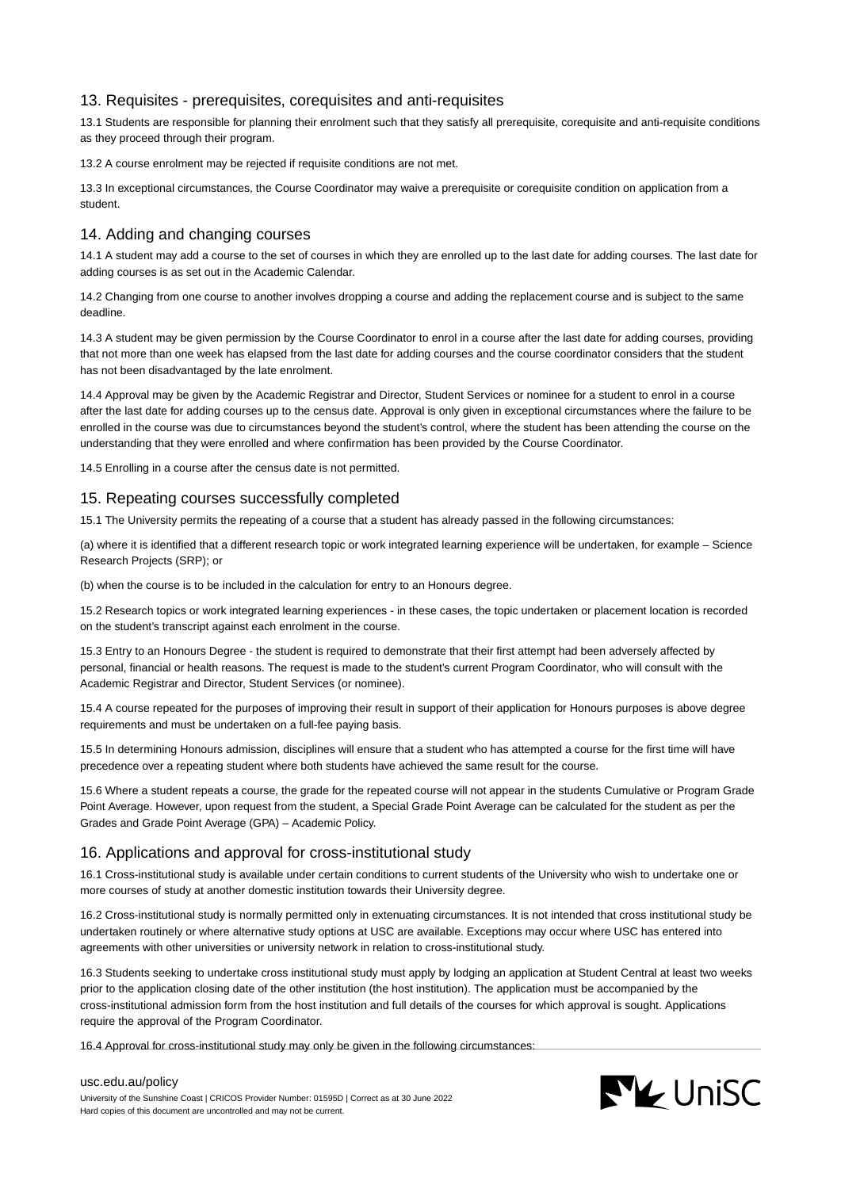## 13. Requisites - prerequisites, corequisites and anti-requisites

13.1 Students are responsible for planning their enrolment such that they satisfy all prerequisite, corequisite and anti-requisite conditions as they proceed through their program.

13.2 A course enrolment may be rejected if requisite conditions are not met.

13.3 In exceptional circumstances, the Course Coordinator may waive a prerequisite or corequisite condition on application from a student.

## 14. Adding and changing courses

14.1 A student may add a course to the set of courses in which they are enrolled up to the last date for adding courses. The last date for adding courses is as set out in the Academic Calendar.

14.2 Changing from one course to another involves dropping a course and adding the replacement course and is subject to the same deadline.

14.3 A student may be given permission by the Course Coordinator to enrol in a course after the last date for adding courses, providing that not more than one week has elapsed from the last date for adding courses and the course coordinator considers that the student has not been disadvantaged by the late enrolment.

14.4 Approval may be given by the Academic Registrar and Director, Student Services or nominee for a student to enrol in a course after the last date for adding courses up to the census date. Approval is only given in exceptional circumstances where the failure to be enrolled in the course was due to circumstances beyond the student's control, where the student has been attending the course on the understanding that they were enrolled and where confirmation has been provided by the Course Coordinator.

14.5 Enrolling in a course after the census date is not permitted.

## 15. Repeating courses successfully completed

15.1 The University permits the repeating of a course that a student has already passed in the following circumstances:

(a) where it is identified that a different research topic or work integrated learning experience will be undertaken, for example – Science Research Projects (SRP); or

(b) when the course is to be included in the calculation for entry to an Honours degree.

15.2 Research topics or work integrated learning experiences - in these cases, the topic undertaken or placement location is recorded on the student's transcript against each enrolment in the course.

15.3 Entry to an Honours Degree - the student is required to demonstrate that their first attempt had been adversely affected by personal, financial or health reasons. The request is made to the student's current Program Coordinator, who will consult with the Academic Registrar and Director, Student Services (or nominee).

15.4 A course repeated for the purposes of improving their result in support of their application for Honours purposes is above degree requirements and must be undertaken on a full-fee paying basis.

15.5 In determining Honours admission, disciplines will ensure that a student who has attempted a course for the first time will have precedence over a repeating student where both students have achieved the same result for the course.

15.6 Where a student repeats a course, the grade for the repeated course will not appear in the students Cumulative or Program Grade Point Average. However, upon request from the student, a Special Grade Point Average can be calculated for the student as per the Grades and Grade Point Average (GPA) – Academic Policy.

## 16. Applications and approval for cross-institutional study

16.1 Cross-institutional study is available under certain conditions to current students of the University who wish to undertake one or more courses of study at another domestic institution towards their University degree.

16.2 Cross-institutional study is normally permitted only in extenuating circumstances. It is not intended that cross institutional study be undertaken routinely or where alternative study options at USC are available. Exceptions may occur where USC has entered into agreements with other universities or university network in relation to cross-institutional study.

16.3 Students seeking to undertake cross institutional study must apply by lodging an application at Student Central at least two weeks prior to the application closing date of the other institution (the host institution). The application must be accompanied by the cross-institutional admission form from the host institution and full details of the courses for which approval is sought. Applications require the approval of the Program Coordinator.

16.4 Approval for cross-institutional study may only be given in the following circumstances:

## [usc.edu.au/policy](https://www.usc.edu.au/policy)

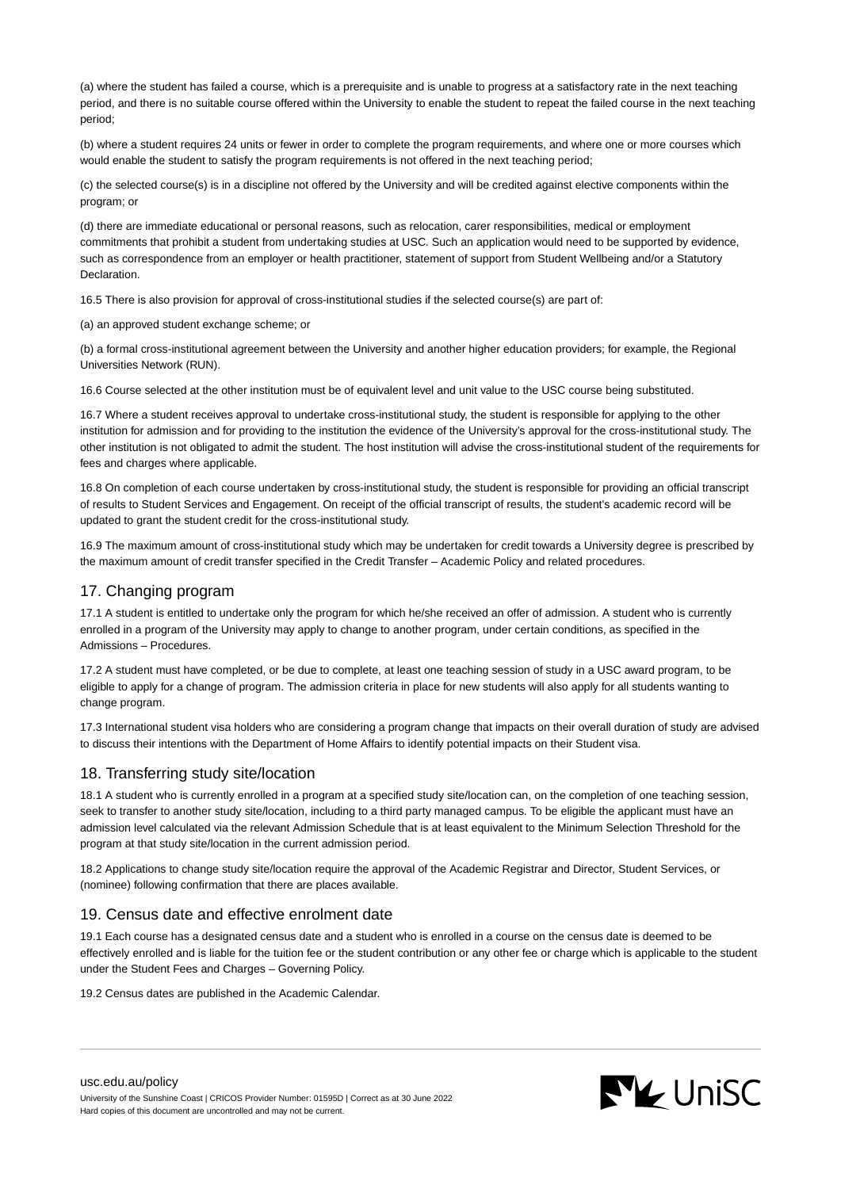(a) where the student has failed a course, which is a prerequisite and is unable to progress at a satisfactory rate in the next teaching period, and there is no suitable course offered within the University to enable the student to repeat the failed course in the next teaching period;

(b) where a student requires 24 units or fewer in order to complete the program requirements, and where one or more courses which would enable the student to satisfy the program requirements is not offered in the next teaching period;

(c) the selected course(s) is in a discipline not offered by the University and will be credited against elective components within the program; or

(d) there are immediate educational or personal reasons, such as relocation, carer responsibilities, medical or employment commitments that prohibit a student from undertaking studies at USC. Such an application would need to be supported by evidence, such as correspondence from an employer or health practitioner, statement of support from Student Wellbeing and/or a Statutory Declaration.

16.5 There is also provision for approval of cross-institutional studies if the selected course(s) are part of:

(a) an approved student exchange scheme; or

(b) a formal cross-institutional agreement between the University and another higher education providers; for example, the Regional Universities Network (RUN).

16.6 Course selected at the other institution must be of equivalent level and unit value to the USC course being substituted.

16.7 Where a student receives approval to undertake cross-institutional study, the student is responsible for applying to the other institution for admission and for providing to the institution the evidence of the University's approval for the cross-institutional study. The other institution is not obligated to admit the student. The host institution will advise the cross-institutional student of the requirements for fees and charges where applicable.

16.8 On completion of each course undertaken by cross-institutional study, the student is responsible for providing an official transcript of results to Student Services and Engagement. On receipt of the official transcript of results, the student's academic record will be updated to grant the student credit for the cross-institutional study.

16.9 The maximum amount of cross-institutional study which may be undertaken for credit towards a University degree is prescribed by the maximum amount of credit transfer specified in the Credit Transfer – Academic Policy and related procedures.

# 17. Changing program

17.1 A student is entitled to undertake only the program for which he/she received an offer of admission. A student who is currently enrolled in a program of the University may apply to change to another program, under certain conditions, as specified in the Admissions – Procedures.

17.2 A student must have completed, or be due to complete, at least one teaching session of study in a USC award program, to be eligible to apply for a change of program. The admission criteria in place for new students will also apply for all students wanting to change program.

17.3 International student visa holders who are considering a program change that impacts on their overall duration of study are advised to discuss their intentions with the Department of Home Affairs to identify potential impacts on their Student visa.

## 18. Transferring study site/location

18.1 A student who is currently enrolled in a program at a specified study site/location can, on the completion of one teaching session, seek to transfer to another study site/location, including to a third party managed campus. To be eligible the applicant must have an admission level calculated via the relevant Admission Schedule that is at least equivalent to the Minimum Selection Threshold for the program at that study site/location in the current admission period.

18.2 Applications to change study site/location require the approval of the Academic Registrar and Director, Student Services, or (nominee) following confirmation that there are places available.

## 19. Census date and effective enrolment date

19.1 Each course has a designated census date and a student who is enrolled in a course on the census date is deemed to be effectively enrolled and is liable for the tuition fee or the student contribution or any other fee or charge which is applicable to the student under the Student Fees and Charges – Governing Policy.

19.2 Census dates are published in the Academic Calendar.

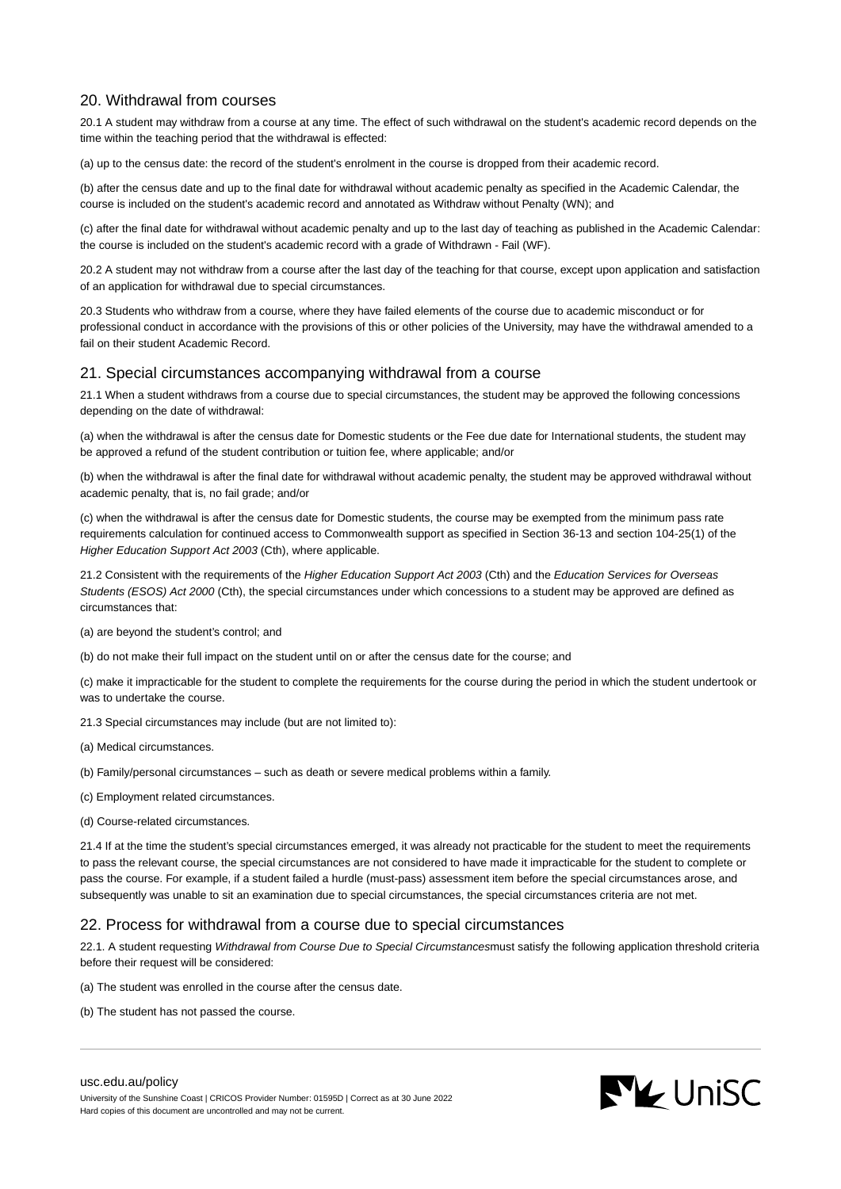# 20. Withdrawal from courses

20.1 A student may withdraw from a course at any time. The effect of such withdrawal on the student's academic record depends on the time within the teaching period that the withdrawal is effected:

(a) up to the census date: the record of the student's enrolment in the course is dropped from their academic record.

(b) after the census date and up to the final date for withdrawal without academic penalty as specified in the Academic Calendar, the course is included on the student's academic record and annotated as Withdraw without Penalty (WN); and

(c) after the final date for withdrawal without academic penalty and up to the last day of teaching as published in the Academic Calendar: the course is included on the student's academic record with a grade of Withdrawn - Fail (WF).

20.2 A student may not withdraw from a course after the last day of the teaching for that course, except upon application and satisfaction of an application for withdrawal due to special circumstances.

20.3 Students who withdraw from a course, where they have failed elements of the course due to academic misconduct or for professional conduct in accordance with the provisions of this or other policies of the University, may have the withdrawal amended to a fail on their student Academic Record.

## 21. Special circumstances accompanying withdrawal from a course

21.1 When a student withdraws from a course due to special circumstances, the student may be approved the following concessions depending on the date of withdrawal:

(a) when the withdrawal is after the census date for Domestic students or the Fee due date for International students, the student may be approved a refund of the student contribution or tuition fee, where applicable; and/or

(b) when the withdrawal is after the final date for withdrawal without academic penalty, the student may be approved withdrawal without academic penalty, that is, no fail grade; and/or

(c) when the withdrawal is after the census date for Domestic students, the course may be exempted from the minimum pass rate requirements calculation for continued access to Commonwealth support as specified in Section 36-13 and section 104-25(1) of the Higher Education Support Act 2003 (Cth), where applicable.

21.2 Consistent with the requirements of the Higher Education Support Act 2003 (Cth) and the Education Services for Overseas Students (ESOS) Act 2000 (Cth), the special circumstances under which concessions to a student may be approved are defined as circumstances that:

(a) are beyond the student's control; and

(b) do not make their full impact on the student until on or after the census date for the course; and

(c) make it impracticable for the student to complete the requirements for the course during the period in which the student undertook or was to undertake the course.

21.3 Special circumstances may include (but are not limited to):

(a) Medical circumstances.

(b) Family/personal circumstances – such as death or severe medical problems within a family.

- (c) Employment related circumstances.
- (d) Course-related circumstances.

21.4 If at the time the student's special circumstances emerged, it was already not practicable for the student to meet the requirements to pass the relevant course, the special circumstances are not considered to have made it impracticable for the student to complete or pass the course. For example, if a student failed a hurdle (must-pass) assessment item before the special circumstances arose, and subsequently was unable to sit an examination due to special circumstances, the special circumstances criteria are not met.

## 22. Process for withdrawal from a course due to special circumstances

22.1. A student requesting Withdrawal from Course Due to Special Circumstancesmust satisfy the following application threshold criteria before their request will be considered:

(a) The student was enrolled in the course after the census date.

(b) The student has not passed the course.

#### [usc.edu.au/policy](https://www.usc.edu.au/policy)

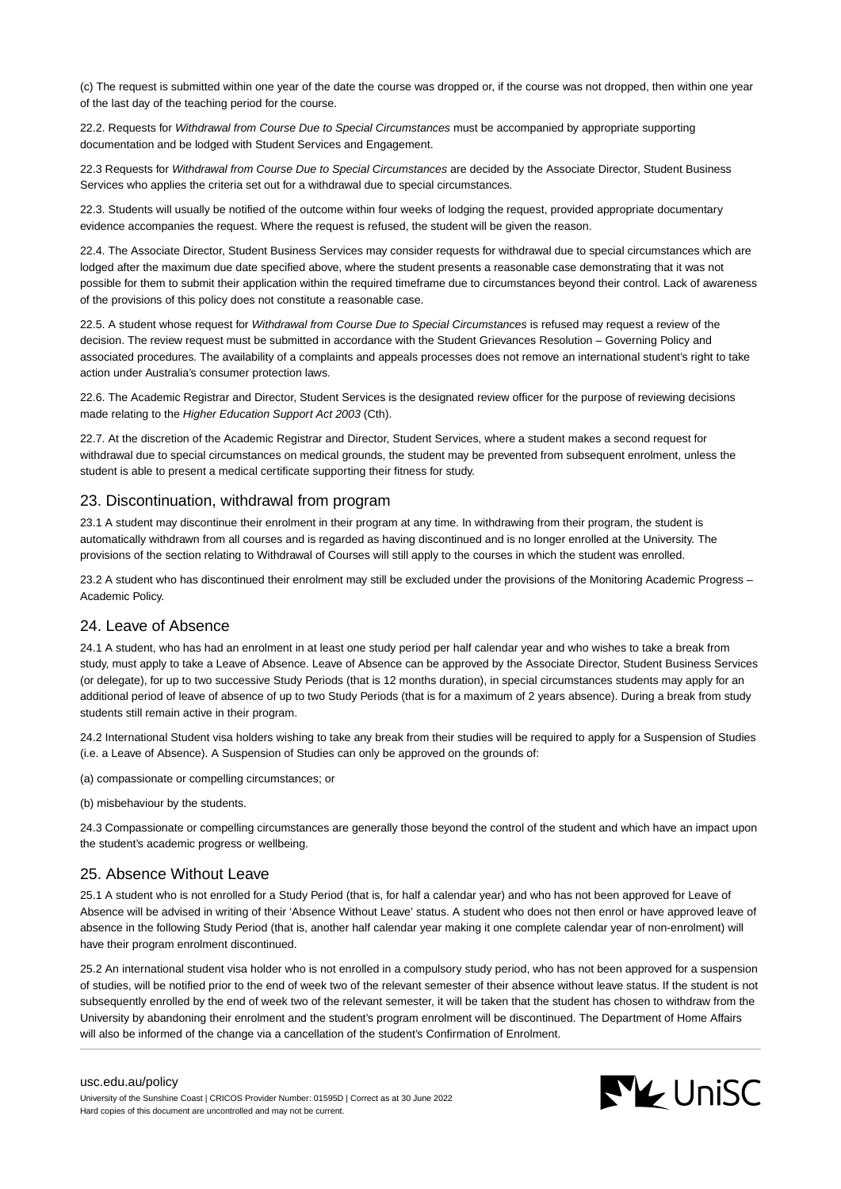(c) The request is submitted within one year of the date the course was dropped or, if the course was not dropped, then within one year of the last day of the teaching period for the course.

22.2. Requests for Withdrawal from Course Due to Special Circumstances must be accompanied by appropriate supporting documentation and be lodged with Student Services and Engagement.

22.3 Requests for Withdrawal from Course Due to Special Circumstances are decided by the Associate Director, Student Business Services who applies the criteria set out for a withdrawal due to special circumstances.

22.3. Students will usually be notified of the outcome within four weeks of lodging the request, provided appropriate documentary evidence accompanies the request. Where the request is refused, the student will be given the reason.

22.4. The Associate Director, Student Business Services may consider requests for withdrawal due to special circumstances which are lodged after the maximum due date specified above, where the student presents a reasonable case demonstrating that it was not possible for them to submit their application within the required timeframe due to circumstances beyond their control. Lack of awareness of the provisions of this policy does not constitute a reasonable case.

22.5. A student whose request for Withdrawal from Course Due to Special Circumstances is refused may request a review of the decision. The review request must be submitted in accordance with the Student Grievances Resolution – Governing Policy and associated procedures. The availability of a complaints and appeals processes does not remove an international student's right to take action under Australia's consumer protection laws.

22.6. The Academic Registrar and Director, Student Services is the designated review officer for the purpose of reviewing decisions made relating to the Higher Education Support Act 2003 (Cth).

22.7. At the discretion of the Academic Registrar and Director, Student Services, where a student makes a second request for withdrawal due to special circumstances on medical grounds, the student may be prevented from subsequent enrolment, unless the student is able to present a medical certificate supporting their fitness for study.

## 23. Discontinuation, withdrawal from program

23.1 A student may discontinue their enrolment in their program at any time. In withdrawing from their program, the student is automatically withdrawn from all courses and is regarded as having discontinued and is no longer enrolled at the University. The provisions of the section relating to Withdrawal of Courses will still apply to the courses in which the student was enrolled.

23.2 A student who has discontinued their enrolment may still be excluded under the provisions of the Monitoring Academic Progress – Academic Policy.

## 24. Leave of Absence

24.1 A student, who has had an enrolment in at least one study period per half calendar year and who wishes to take a break from study, must apply to take a Leave of Absence. Leave of Absence can be approved by the Associate Director, Student Business Services (or delegate), for up to two successive Study Periods (that is 12 months duration), in special circumstances students may apply for an additional period of leave of absence of up to two Study Periods (that is for a maximum of 2 years absence). During a break from study students still remain active in their program.

24.2 International Student visa holders wishing to take any break from their studies will be required to apply for a Suspension of Studies (i.e. a Leave of Absence). A Suspension of Studies can only be approved on the grounds of:

(a) compassionate or compelling circumstances; or

(b) misbehaviour by the students.

24.3 Compassionate or compelling circumstances are generally those beyond the control of the student and which have an impact upon the student's academic progress or wellbeing.

## 25. Absence Without Leave

25.1 A student who is not enrolled for a Study Period (that is, for half a calendar year) and who has not been approved for Leave of Absence will be advised in writing of their 'Absence Without Leave' status. A student who does not then enrol or have approved leave of absence in the following Study Period (that is, another half calendar year making it one complete calendar year of non-enrolment) will have their program enrolment discontinued.

25.2 An international student visa holder who is not enrolled in a compulsory study period, who has not been approved for a suspension of studies, will be notified prior to the end of week two of the relevant semester of their absence without leave status. If the student is not subsequently enrolled by the end of week two of the relevant semester, it will be taken that the student has chosen to withdraw from the University by abandoning their enrolment and the student's program enrolment will be discontinued. The Department of Home Affairs will also be informed of the change via a cancellation of the student's Confirmation of Enrolment.

#### [usc.edu.au/policy](https://www.usc.edu.au/policy)

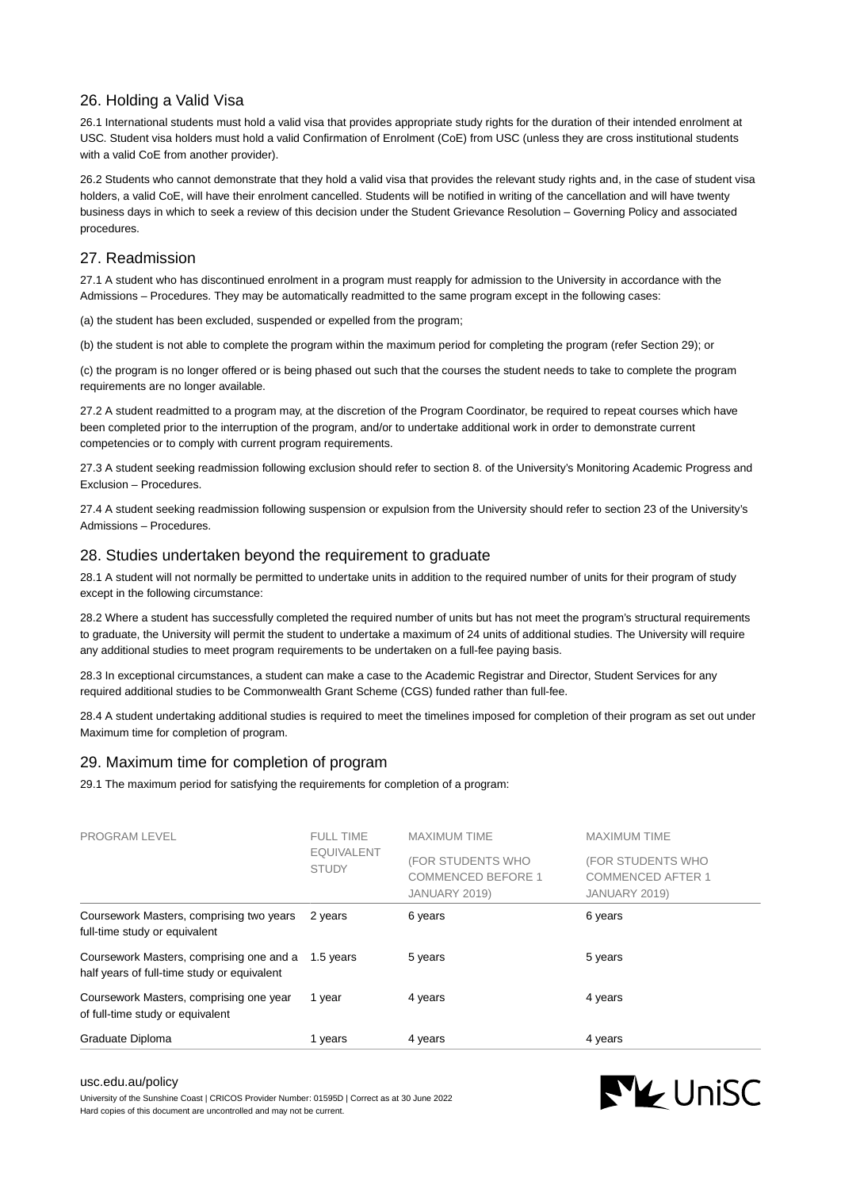# 26. Holding a Valid Visa

26.1 International students must hold a valid visa that provides appropriate study rights for the duration of their intended enrolment at USC. Student visa holders must hold a valid Confirmation of Enrolment (CoE) from USC (unless they are cross institutional students with a valid CoE from another provider).

26.2 Students who cannot demonstrate that they hold a valid visa that provides the relevant study rights and, in the case of student visa holders, a valid CoE, will have their enrolment cancelled. Students will be notified in writing of the cancellation and will have twenty business days in which to seek a review of this decision under the Student Grievance Resolution – Governing Policy and associated procedures.

# 27. Readmission

27.1 A student who has discontinued enrolment in a program must reapply for admission to the University in accordance with the Admissions – Procedures. They may be automatically readmitted to the same program except in the following cases:

(a) the student has been excluded, suspended or expelled from the program;

(b) the student is not able to complete the program within the maximum period for completing the program (refer Section 29); or

(c) the program is no longer offered or is being phased out such that the courses the student needs to take to complete the program requirements are no longer available.

27.2 A student readmitted to a program may, at the discretion of the Program Coordinator, be required to repeat courses which have been completed prior to the interruption of the program, and/or to undertake additional work in order to demonstrate current competencies or to comply with current program requirements.

27.3 A student seeking readmission following exclusion should refer to section 8. of the University's Monitoring Academic Progress and Exclusion – Procedures.

27.4 A student seeking readmission following suspension or expulsion from the University should refer to section 23 of the University's Admissions – Procedures.

## 28. Studies undertaken beyond the requirement to graduate

28.1 A student will not normally be permitted to undertake units in addition to the required number of units for their program of study except in the following circumstance:

28.2 Where a student has successfully completed the required number of units but has not meet the program's structural requirements to graduate, the University will permit the student to undertake a maximum of 24 units of additional studies. The University will require any additional studies to meet program requirements to be undertaken on a full-fee paying basis.

28.3 In exceptional circumstances, a student can make a case to the Academic Registrar and Director, Student Services for any required additional studies to be Commonwealth Grant Scheme (CGS) funded rather than full-fee.

28.4 A student undertaking additional studies is required to meet the timelines imposed for completion of their program as set out under Maximum time for completion of program.

# 29. Maximum time for completion of program

29.1 The maximum period for satisfying the requirements for completion of a program:

| PROGRAM LEVEL                                                                                     | <b>FULL TIME</b><br><b>EQUIVALENT</b><br><b>STUDY</b> | <b>MAXIMUM TIME</b>                                             | <b>MAXIMUM TIME</b>                                            |
|---------------------------------------------------------------------------------------------------|-------------------------------------------------------|-----------------------------------------------------------------|----------------------------------------------------------------|
|                                                                                                   |                                                       | (FOR STUDENTS WHO<br><b>COMMENCED BEFORE 1</b><br>JANUARY 2019) | (FOR STUDENTS WHO<br><b>COMMENCED AFTER 1</b><br>JANUARY 2019) |
| Coursework Masters, comprising two years<br>full-time study or equivalent                         | 2 years                                               | 6 years                                                         | 6 years                                                        |
| Coursework Masters, comprising one and a 1.5 years<br>half years of full-time study or equivalent |                                                       | 5 years                                                         | 5 years                                                        |
| Coursework Masters, comprising one year<br>of full-time study or equivalent                       | 1 year                                                | 4 years                                                         | 4 years                                                        |
| Graduate Diploma                                                                                  | vears                                                 | 4 years                                                         | 4 years                                                        |

#### [usc.edu.au/policy](https://www.usc.edu.au/policy)

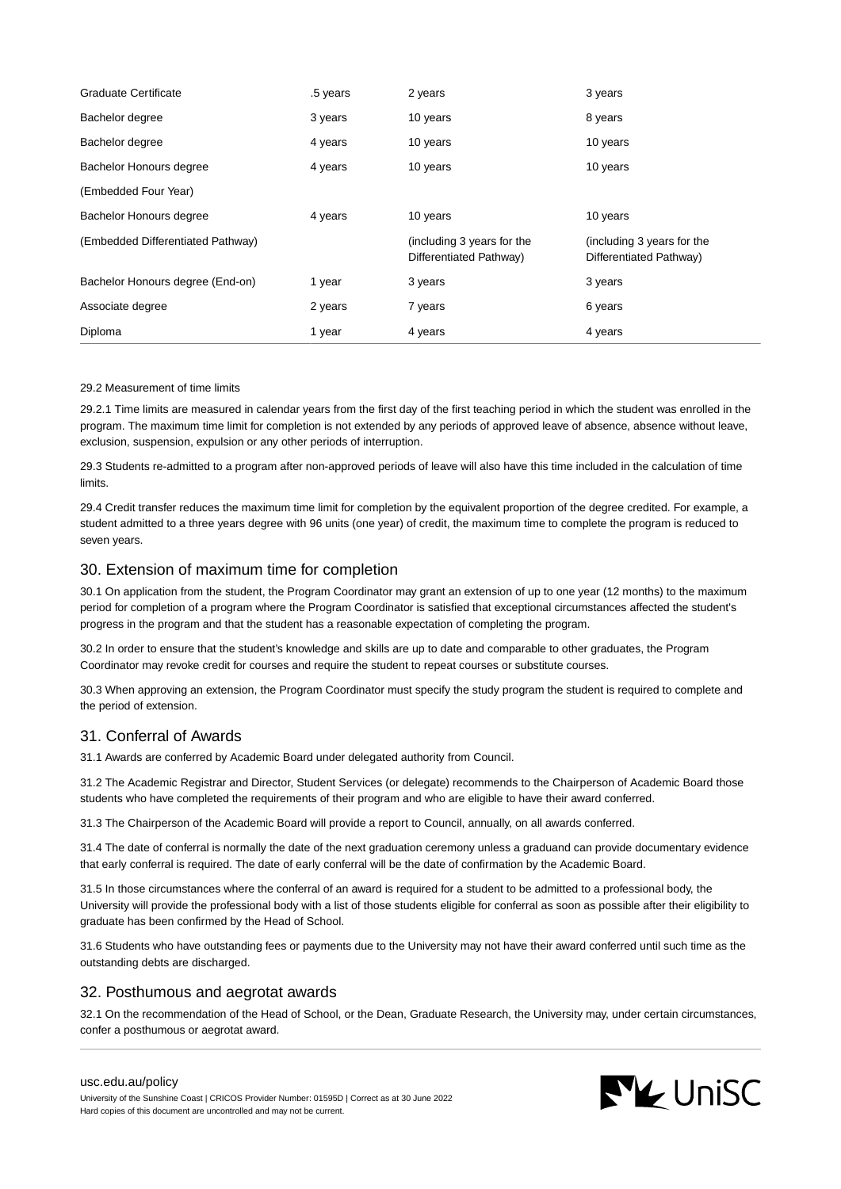| <b>Graduate Certificate</b>       | .5 years | 2 years                                               | 3 years                                               |
|-----------------------------------|----------|-------------------------------------------------------|-------------------------------------------------------|
| Bachelor degree                   | 3 years  | 10 years                                              | 8 years                                               |
| Bachelor degree                   | 4 years  | 10 years                                              | 10 years                                              |
| Bachelor Honours degree           | 4 years  | 10 years                                              | 10 years                                              |
| (Embedded Four Year)              |          |                                                       |                                                       |
| Bachelor Honours degree           | 4 years  | 10 years                                              | 10 years                                              |
| (Embedded Differentiated Pathway) |          | (including 3 years for the<br>Differentiated Pathway) | (including 3 years for the<br>Differentiated Pathway) |
| Bachelor Honours degree (End-on)  | 1 year   | 3 years                                               | 3 years                                               |
| Associate degree                  | 2 years  | 7 years                                               | 6 years                                               |
| Diploma                           | 1 year   | 4 years                                               | 4 years                                               |

#### 29.2 Measurement of time limits

29.2.1 Time limits are measured in calendar years from the first day of the first teaching period in which the student was enrolled in the program. The maximum time limit for completion is not extended by any periods of approved leave of absence, absence without leave, exclusion, suspension, expulsion or any other periods of interruption.

29.3 Students re-admitted to a program after non-approved periods of leave will also have this time included in the calculation of time limits.

29.4 Credit transfer reduces the maximum time limit for completion by the equivalent proportion of the degree credited. For example, a student admitted to a three years degree with 96 units (one year) of credit, the maximum time to complete the program is reduced to seven years.

## 30. Extension of maximum time for completion

30.1 On application from the student, the Program Coordinator may grant an extension of up to one year (12 months) to the maximum period for completion of a program where the Program Coordinator is satisfied that exceptional circumstances affected the student's progress in the program and that the student has a reasonable expectation of completing the program.

30.2 In order to ensure that the student's knowledge and skills are up to date and comparable to other graduates, the Program Coordinator may revoke credit for courses and require the student to repeat courses or substitute courses.

30.3 When approving an extension, the Program Coordinator must specify the study program the student is required to complete and the period of extension.

# 31. Conferral of Awards

31.1 Awards are conferred by Academic Board under delegated authority from Council.

31.2 The Academic Registrar and Director, Student Services (or delegate) recommends to the Chairperson of Academic Board those students who have completed the requirements of their program and who are eligible to have their award conferred.

31.3 The Chairperson of the Academic Board will provide a report to Council, annually, on all awards conferred.

31.4 The date of conferral is normally the date of the next graduation ceremony unless a graduand can provide documentary evidence that early conferral is required. The date of early conferral will be the date of confirmation by the Academic Board.

31.5 In those circumstances where the conferral of an award is required for a student to be admitted to a professional body, the University will provide the professional body with a list of those students eligible for conferral as soon as possible after their eligibility to graduate has been confirmed by the Head of School.

31.6 Students who have outstanding fees or payments due to the University may not have their award conferred until such time as the outstanding debts are discharged.

## 32. Posthumous and aegrotat awards

32.1 On the recommendation of the Head of School, or the Dean, Graduate Research, the University may, under certain circumstances, confer a posthumous or aegrotat award.

#### [usc.edu.au/policy](https://www.usc.edu.au/policy)

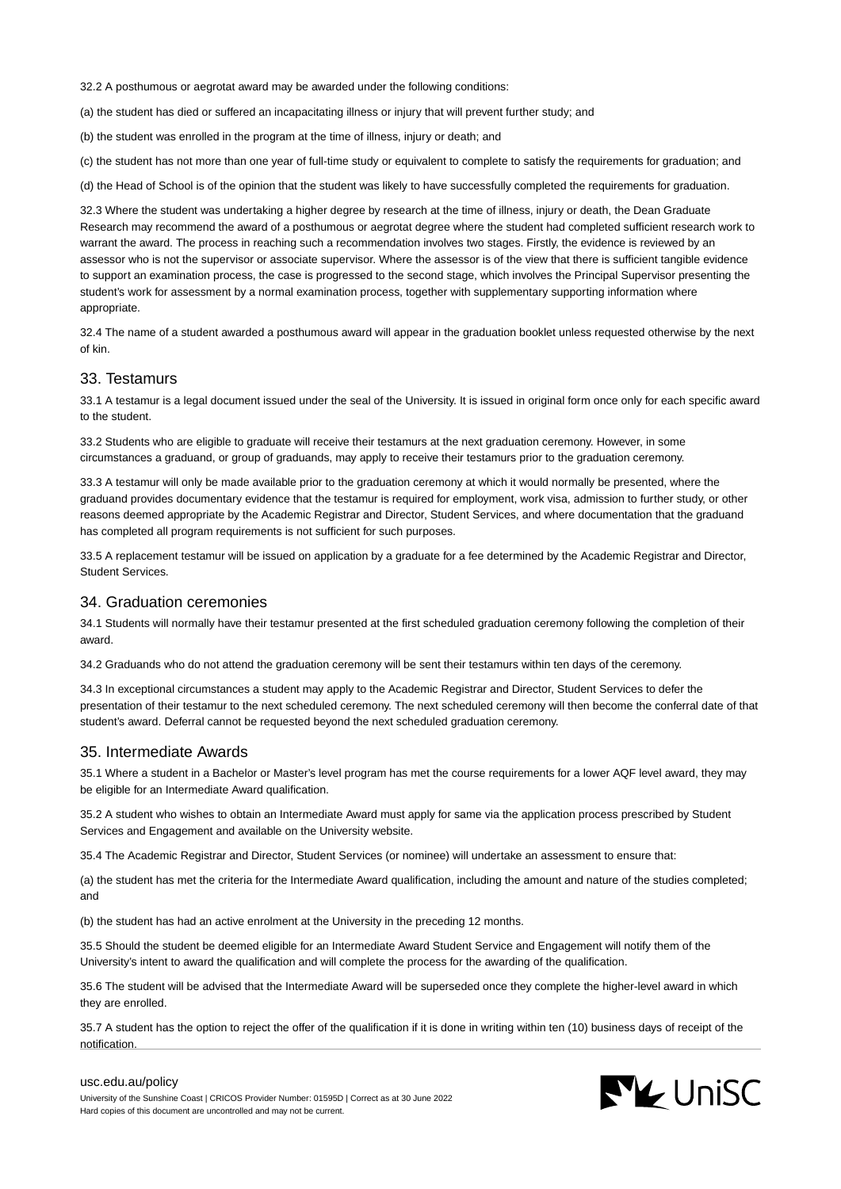32.2 A posthumous or aegrotat award may be awarded under the following conditions:

(a) the student has died or suffered an incapacitating illness or injury that will prevent further study; and

(b) the student was enrolled in the program at the time of illness, injury or death; and

(c) the student has not more than one year of full-time study or equivalent to complete to satisfy the requirements for graduation; and

(d) the Head of School is of the opinion that the student was likely to have successfully completed the requirements for graduation.

32.3 Where the student was undertaking a higher degree by research at the time of illness, injury or death, the Dean Graduate Research may recommend the award of a posthumous or aegrotat degree where the student had completed sufficient research work to warrant the award. The process in reaching such a recommendation involves two stages. Firstly, the evidence is reviewed by an assessor who is not the supervisor or associate supervisor. Where the assessor is of the view that there is sufficient tangible evidence to support an examination process, the case is progressed to the second stage, which involves the Principal Supervisor presenting the student's work for assessment by a normal examination process, together with supplementary supporting information where appropriate.

32.4 The name of a student awarded a posthumous award will appear in the graduation booklet unless requested otherwise by the next of kin.

#### 33. Testamurs

33.1 A testamur is a legal document issued under the seal of the University. It is issued in original form once only for each specific award to the student.

33.2 Students who are eligible to graduate will receive their testamurs at the next graduation ceremony. However, in some circumstances a graduand, or group of graduands, may apply to receive their testamurs prior to the graduation ceremony.

33.3 A testamur will only be made available prior to the graduation ceremony at which it would normally be presented, where the graduand provides documentary evidence that the testamur is required for employment, work visa, admission to further study, or other reasons deemed appropriate by the Academic Registrar and Director, Student Services, and where documentation that the graduand has completed all program requirements is not sufficient for such purposes.

33.5 A replacement testamur will be issued on application by a graduate for a fee determined by the Academic Registrar and Director, Student Services.

#### 34. Graduation ceremonies

34.1 Students will normally have their testamur presented at the first scheduled graduation ceremony following the completion of their award.

34.2 Graduands who do not attend the graduation ceremony will be sent their testamurs within ten days of the ceremony.

34.3 In exceptional circumstances a student may apply to the Academic Registrar and Director, Student Services to defer the presentation of their testamur to the next scheduled ceremony. The next scheduled ceremony will then become the conferral date of that student's award. Deferral cannot be requested beyond the next scheduled graduation ceremony.

#### 35. Intermediate Awards

35.1 Where a student in a Bachelor or Master's level program has met the course requirements for a lower AQF level award, they may be eligible for an Intermediate Award qualification.

35.2 A student who wishes to obtain an Intermediate Award must apply for same via the application process prescribed by Student Services and Engagement and available on the University website.

35.4 The Academic Registrar and Director, Student Services (or nominee) will undertake an assessment to ensure that:

(a) the student has met the criteria for the Intermediate Award qualification, including the amount and nature of the studies completed; and

(b) the student has had an active enrolment at the University in the preceding 12 months.

35.5 Should the student be deemed eligible for an Intermediate Award Student Service and Engagement will notify them of the University's intent to award the qualification and will complete the process for the awarding of the qualification.

35.6 The student will be advised that the Intermediate Award will be superseded once they complete the higher-level award in which they are enrolled.

35.7 A student has the option to reject the offer of the qualification if it is done in writing within ten (10) business days of receipt of the notification.

#### [usc.edu.au/policy](https://www.usc.edu.au/policy)

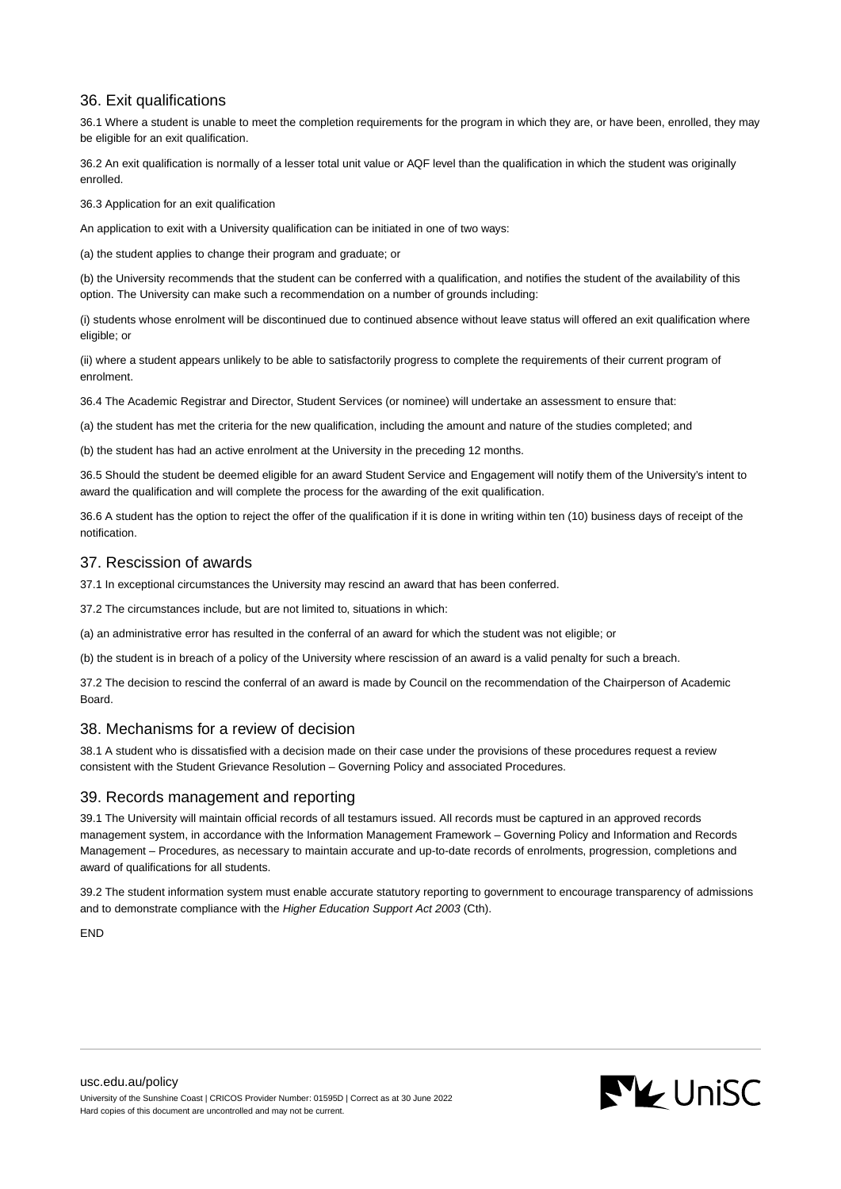# 36. Exit qualifications

36.1 Where a student is unable to meet the completion requirements for the program in which they are, or have been, enrolled, they may be eligible for an exit qualification.

36.2 An exit qualification is normally of a lesser total unit value or AQF level than the qualification in which the student was originally enrolled.

36.3 Application for an exit qualification

An application to exit with a University qualification can be initiated in one of two ways:

(a) the student applies to change their program and graduate; or

(b) the University recommends that the student can be conferred with a qualification, and notifies the student of the availability of this option. The University can make such a recommendation on a number of grounds including:

(i) students whose enrolment will be discontinued due to continued absence without leave status will offered an exit qualification where eligible; or

(ii) where a student appears unlikely to be able to satisfactorily progress to complete the requirements of their current program of enrolment.

36.4 The Academic Registrar and Director, Student Services (or nominee) will undertake an assessment to ensure that:

(a) the student has met the criteria for the new qualification, including the amount and nature of the studies completed; and

(b) the student has had an active enrolment at the University in the preceding 12 months.

36.5 Should the student be deemed eligible for an award Student Service and Engagement will notify them of the University's intent to award the qualification and will complete the process for the awarding of the exit qualification.

36.6 A student has the option to reject the offer of the qualification if it is done in writing within ten (10) business days of receipt of the notification.

## 37. Rescission of awards

37.1 In exceptional circumstances the University may rescind an award that has been conferred.

37.2 The circumstances include, but are not limited to, situations in which:

(a) an administrative error has resulted in the conferral of an award for which the student was not eligible; or

(b) the student is in breach of a policy of the University where rescission of an award is a valid penalty for such a breach.

37.2 The decision to rescind the conferral of an award is made by Council on the recommendation of the Chairperson of Academic Board.

# 38. Mechanisms for a review of decision

38.1 A student who is dissatisfied with a decision made on their case under the provisions of these procedures request a review consistent with the Student Grievance Resolution – Governing Policy and associated Procedures.

# 39. Records management and reporting

39.1 The University will maintain official records of all testamurs issued. All records must be captured in an approved records management system, in accordance with the Information Management Framework – Governing Policy and Information and Records Management – Procedures, as necessary to maintain accurate and up-to-date records of enrolments, progression, completions and award of qualifications for all students.

39.2 The student information system must enable accurate statutory reporting to government to encourage transparency of admissions and to demonstrate compliance with the Higher Education Support Act 2003 (Cth).

END